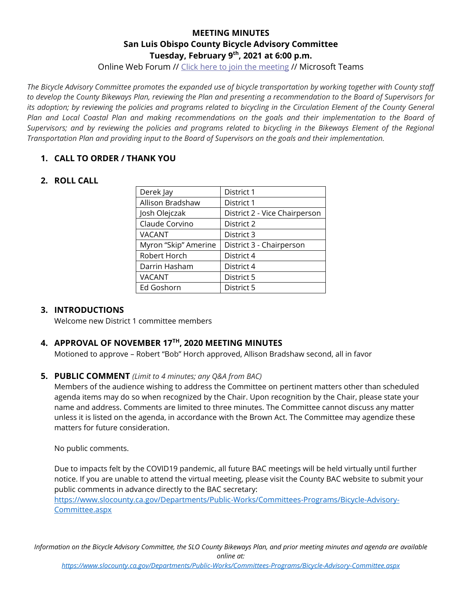# **MEETING MINUTES San Luis Obispo County Bicycle Advisory Committee Tuesday, February 9th, 2021 at 6:00 p.m.**

Online Web Forum // [Click here to join the meeting](https://teams.microsoft.com/l/meetup-join/19%3ameeting_ODE3YjAxOTItMjdjZC00NTNiLTk1ZjEtODkwMWEwMTE4Njk2%40thread.v2/0?context=%7b%22Tid%22%3a%2284c3c774-7fdf-40e2-a590-27b2e70f8126%22%2c%22Oid%22%3a%22accc1d09-640f-48ff-93c9-96f845f6221a%22%7d) // Microsoft Teams

*The Bicycle Advisory Committee promotes the expanded use of bicycle transportation by working together with County staff to develop the County Bikeways Plan, reviewing the Plan and presenting a recommendation to the Board of Supervisors for its adoption; by reviewing the policies and programs related to bicycling in the Circulation Element of the County General Plan and Local Coastal Plan and making recommendations on the goals and their implementation to the Board of*  Supervisors; and by reviewing the policies and programs related to bicycling in the Bikeways Element of the Regional *Transportation Plan and providing input to the Board of Supervisors on the goals and their implementation.*

## **1. CALL TO ORDER / THANK YOU**

## **2. ROLL CALL**

| Derek Jay            | District 1                    |
|----------------------|-------------------------------|
| Allison Bradshaw     | District 1                    |
| Josh Olejczak        | District 2 - Vice Chairperson |
| Claude Corvino       | District 2                    |
| <b>VACANT</b>        | District 3                    |
| Myron "Skip" Amerine | District 3 - Chairperson      |
| Robert Horch         | District 4                    |
| Darrin Hasham        | District 4                    |
| <b>VACANT</b>        | District 5                    |
| Ed Goshorn           | District 5                    |
|                      |                               |

# **3. INTRODUCTIONS**

Welcome new District 1 committee members

# **4. APPROVAL OF NOVEMBER 17TH, 2020 MEETING MINUTES**

Motioned to approve – Robert "Bob" Horch approved, Allison Bradshaw second, all in favor

#### **5. PUBLIC COMMENT** *(Limit to 4 minutes; any Q&A from BAC)*

Members of the audience wishing to address the Committee on pertinent matters other than scheduled agenda items may do so when recognized by the Chair. Upon recognition by the Chair, please state your name and address. Comments are limited to three minutes. The Committee cannot discuss any matter unless it is listed on the agenda, in accordance with the Brown Act. The Committee may agendize these matters for future consideration.

No public comments.

Due to impacts felt by the COVID19 pandemic, all future BAC meetings will be held virtually until further notice. If you are unable to attend the virtual meeting, please visit the County BAC website to submit your public comments in advance directly to the BAC secretary:

[https://www.slocounty.ca.gov/Departments/Public-Works/Committees-Programs/Bicycle-Advisory-](https://www.slocounty.ca.gov/Departments/Public-Works/Committees-Programs/Bicycle-Advisory-Committee.aspx)[Committee.aspx](https://www.slocounty.ca.gov/Departments/Public-Works/Committees-Programs/Bicycle-Advisory-Committee.aspx)

*Information on the Bicycle Advisory Committee, the SLO County Bikeways Plan, and prior meeting minutes and agenda are available online at:*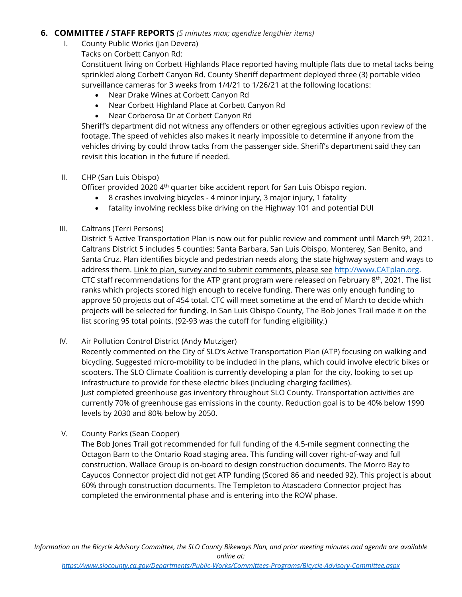## **6. COMMITTEE / STAFF REPORTS** *(5 minutes max; agendize lengthier items)*

- I. County Public Works (Jan Devera)
	- Tacks on Corbett Canyon Rd:

Constituent living on Corbett Highlands Place reported having multiple flats due to metal tacks being sprinkled along Corbett Canyon Rd. County Sheriff department deployed three (3) portable video surveillance cameras for 3 weeks from 1/4/21 to 1/26/21 at the following locations:

- Near Drake Wines at Corbett Canyon Rd
- Near Corbett Highland Place at Corbett Canyon Rd
- Near Corberosa Dr at Corbett Canyon Rd

Sheriff's department did not witness any offenders or other egregious activities upon review of the footage. The speed of vehicles also makes it nearly impossible to determine if anyone from the vehicles driving by could throw tacks from the passenger side. Sheriff's department said they can revisit this location in the future if needed.

#### II. CHP (San Luis Obispo)

Officer provided 2020 4<sup>th</sup> quarter bike accident report for San Luis Obispo region.

- 8 crashes involving bicycles 4 minor injury, 3 major injury, 1 fatality
- fatality involving reckless bike driving on the Highway 101 and potential DUI

#### III. Caltrans (Terri Persons)

District 5 Active Transportation Plan is now out for public review and comment until March 9<sup>th</sup>, 2021. Caltrans District 5 includes 5 counties: Santa Barbara, San Luis Obispo, Monterey, San Benito, and Santa Cruz. Plan identifies bicycle and pedestrian needs along the state highway system and ways to address them. Link to plan, survey and to submit comments, please see [http://www.CATplan.org.](http://www.catplan.org/) CTC staff recommendations for the ATP grant program were released on February 8<sup>th</sup>, 2021. The list ranks which projects scored high enough to receive funding. There was only enough funding to approve 50 projects out of 454 total. CTC will meet sometime at the end of March to decide which projects will be selected for funding. In San Luis Obispo County, The Bob Jones Trail made it on the list scoring 95 total points. (92-93 was the cutoff for funding eligibility.)

IV. Air Pollution Control District (Andy Mutziger)

Recently commented on the City of SLO's Active Transportation Plan (ATP) focusing on walking and bicycling. Suggested micro-mobility to be included in the plans, which could involve electric bikes or scooters. The SLO Climate Coalition is currently developing a plan for the city, looking to set up infrastructure to provide for these electric bikes (including charging facilities). Just completed greenhouse gas inventory throughout SLO County. Transportation activities are currently 70% of greenhouse gas emissions in the county. Reduction goal is to be 40% below 1990 levels by 2030 and 80% below by 2050.

V. County Parks (Sean Cooper)

The Bob Jones Trail got recommended for full funding of the 4.5-mile segment connecting the Octagon Barn to the Ontario Road staging area. This funding will cover right-of-way and full construction. Wallace Group is on-board to design construction documents. The Morro Bay to Cayucos Connector project did not get ATP funding (Scored 86 and needed 92). This project is about 60% through construction documents. The Templeton to Atascadero Connector project has completed the environmental phase and is entering into the ROW phase.

*Information on the Bicycle Advisory Committee, the SLO County Bikeways Plan, and prior meeting minutes and agenda are available online at:*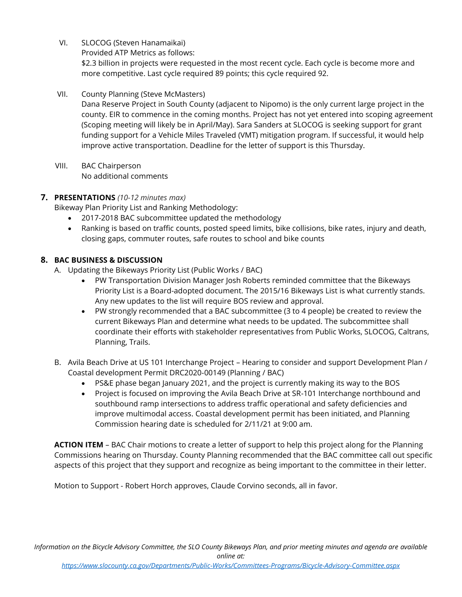VI. SLOCOG (Steven Hanamaikai)

Provided ATP Metrics as follows:

\$2.3 billion in projects were requested in the most recent cycle. Each cycle is become more and more competitive. Last cycle required 89 points; this cycle required 92.

VII. County Planning (Steve McMasters)

Dana Reserve Project in South County (adjacent to Nipomo) is the only current large project in the county. EIR to commence in the coming months. Project has not yet entered into scoping agreement (Scoping meeting will likely be in April/May). Sara Sanders at SLOCOG is seeking support for grant funding support for a Vehicle Miles Traveled (VMT) mitigation program. If successful, it would help improve active transportation. Deadline for the letter of support is this Thursday.

VIII. BAC Chairperson No additional comments

# **7. PRESENTATIONS** *(10-12 minutes max)*

Bikeway Plan Priority List and Ranking Methodology:

- 2017-2018 BAC subcommittee updated the methodology
- Ranking is based on traffic counts, posted speed limits, bike collisions, bike rates, injury and death, closing gaps, commuter routes, safe routes to school and bike counts

## **8. BAC BUSINESS & DISCUSSION**

A. Updating the Bikeways Priority List (Public Works / BAC)

- PW Transportation Division Manager Josh Roberts reminded committee that the Bikeways Priority List is a Board-adopted document. The 2015/16 Bikeways List is what currently stands. Any new updates to the list will require BOS review and approval.
- PW strongly recommended that a BAC subcommittee (3 to 4 people) be created to review the current Bikeways Plan and determine what needs to be updated. The subcommittee shall coordinate their efforts with stakeholder representatives from Public Works, SLOCOG, Caltrans, Planning, Trails.
- B. Avila Beach Drive at US 101 Interchange Project Hearing to consider and support Development Plan / Coastal development Permit DRC2020-00149 (Planning / BAC)
	- PS&E phase began January 2021, and the project is currently making its way to the BOS
	- Project is focused on improving the Avila Beach Drive at SR-101 Interchange northbound and southbound ramp intersections to address traffic operational and safety deficiencies and improve multimodal access. Coastal development permit has been initiated, and Planning Commission hearing date is scheduled for 2/11/21 at 9:00 am.

**ACTION ITEM** – BAC Chair motions to create a letter of support to help this project along for the Planning Commissions hearing on Thursday. County Planning recommended that the BAC committee call out specific aspects of this project that they support and recognize as being important to the committee in their letter.

Motion to Support - Robert Horch approves, Claude Corvino seconds, all in favor.